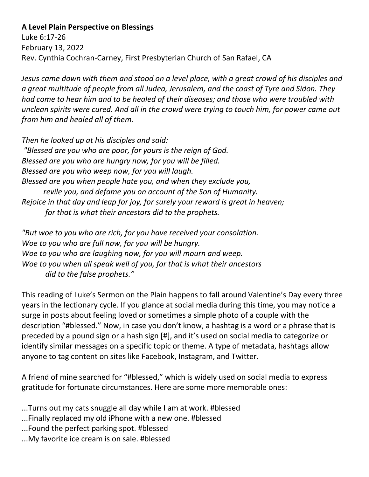## **A Level Plain Perspective on Blessings**

Luke 6:17-26 February 13, 2022 Rev. Cynthia Cochran-Carney, First Presbyterian Church of San Rafael, CA

*Jesus came down with them and stood on a level place, with a great crowd of his disciples and a great multitude of people from all Judea, Jerusalem, and the coast of Tyre and Sidon. They had come to hear him and to be healed of their diseases; and those who were troubled with unclean spirits were cured. And all in the crowd were trying to touch him, for power came out from him and healed all of them.* 

*Then he looked up at his disciples and said: "Blessed are you who are poor, for yours is the reign of God. Blessed are you who are hungry now, for you will be filled. Blessed are you who weep now, for you will laugh. Blessed are you when people hate you, and when they exclude you, revile you, and defame you on account of the Son of Humanity. Rejoice in that day and leap for joy, for surely your reward is great in heaven; for that is what their ancestors did to the prophets.* 

*"But woe to you who are rich, for you have received your consolation. Woe to you who are full now, for you will be hungry. Woe to you who are laughing now, for you will mourn and weep. Woe to you when all speak well of you, for that is what their ancestors did to the false prophets."*

This reading of Luke's Sermon on the Plain happens to fall around Valentine's Day every three years in the lectionary cycle. If you glance at social media during this time, you may notice a surge in posts about feeling loved or sometimes a simple photo of a couple with the description "#blessed." Now, in case you don't know, a hashtag is a word or a phrase that is preceded by a pound sign or a hash sign [#], and it's used on social media to categorize or identify similar messages on a specific topic or theme. A type of metadata, hashtags allow anyone to tag content on sites like Facebook, Instagram, and Twitter.

A friend of mine searched for "#blessed," which is widely used on social media to express gratitude for fortunate circumstances. Here are some more memorable ones:

- ...Turns out my cats snuggle all day while I am at work. #blessed
- ...Finally replaced my old iPhone with a new one. #blessed
- ...Found the perfect parking spot. #blessed
- ...My favorite ice cream is on sale. #blessed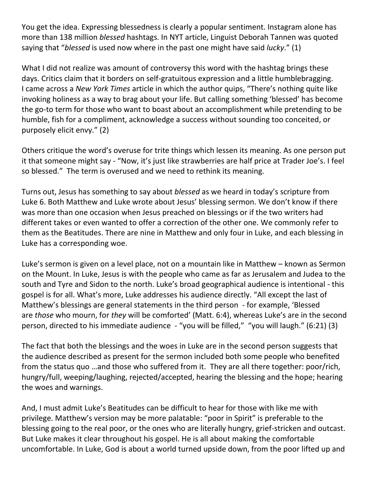You get the idea. Expressing blessedness is clearly a popular sentiment. Instagram alone has more than 138 million *blessed* hashtags. In NYT article, Linguist Deborah Tannen was quoted saying that "*blessed* is used now where in the past one might have said *lucky*." (1)

What I did not realize was amount of controversy this word with the hashtag brings these days. Critics claim that it borders on self-gratuitous expression and a little humblebragging. I came across a *New York Times* article in which the author quips, "There's nothing quite like invoking holiness as a way to brag about your life. But calling something 'blessed' has become the go-to term for those who want to boast about an accomplishment while pretending to be humble, fish for a compliment, acknowledge a success without sounding too conceited, or purposely elicit envy." (2)

Others critique the word's overuse for trite things which lessen its meaning. As one person put it that someone might say - "Now, it's just like strawberries are half price at Trader Joe's. I feel so blessed." The term is overused and we need to rethink its meaning.

Turns out, Jesus has something to say about *blessed* as we heard in today's scripture from Luke 6. Both Matthew and Luke wrote about Jesus' blessing sermon. We don't know if there was more than one occasion when Jesus preached on blessings or if the two writers had different takes or even wanted to offer a correction of the other one. We commonly refer to them as the Beatitudes. There are nine in Matthew and only four in Luke, and each blessing in Luke has a corresponding woe.

Luke's sermon is given on a level place, not on a mountain like in Matthew – known as Sermon on the Mount. In Luke, Jesus is with the people who came as far as Jerusalem and Judea to the south and Tyre and Sidon to the north. Luke's broad geographical audience is intentional - this gospel is for all. What's more, Luke addresses his audience directly. "All except the last of Matthew's blessings are general statements in the third person - for example, 'Blessed are *those* who mourn, for *they* will be comforted' (Matt. 6:4), whereas Luke's are in the second person, directed to his immediate audience - "you will be filled," "you will laugh." (6:21) (3)

The fact that both the blessings and the woes in Luke are in the second person suggests that the audience described as present for the sermon included both some people who benefited from the status quo …and those who suffered from it. They are all there together: poor/rich, hungry/full, weeping/laughing, rejected/accepted, hearing the blessing and the hope; hearing the woes and warnings.

And, I must admit Luke's Beatitudes can be difficult to hear for those with like me with privilege. Matthew's version may be more palatable: "poor in Spirit" is preferable to the blessing going to the real poor, or the ones who are literally hungry, grief-stricken and outcast. But Luke makes it clear throughout his gospel. He is all about making the comfortable uncomfortable. In Luke, God is about a world turned upside down, from the poor lifted up and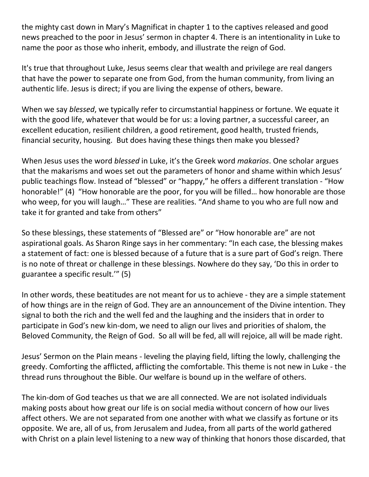the mighty cast down in Mary's Magnificat in chapter 1 to the captives released and good news preached to the poor in Jesus' sermon in chapter 4. There is an intentionality in Luke to name the poor as those who inherit, embody, and illustrate the reign of God.

It's true that throughout Luke, Jesus seems clear that wealth and privilege are real dangers that have the power to separate one from God, from the human community, from living an authentic life. Jesus is direct; if you are living the expense of others, beware.

When we say *blessed*, we typically refer to circumstantial happiness or fortune. We equate it with the good life, whatever that would be for us: a loving partner, a successful career, an excellent education, resilient children, a good retirement, good health, trusted friends, financial security, housing. But does having these things then make you blessed?

When Jesus uses the word *blessed* in Luke, it's the Greek word *makarios*. One scholar argues that the makarisms and woes set out the parameters of honor and shame within which Jesus' public teachings flow. Instead of "blessed" or "happy," he offers a different translation - "How honorable!" (4) "How honorable are the poor, for you will be filled… how honorable are those who weep, for you will laugh…" These are realities. "And shame to you who are full now and take it for granted and take from others"

So these blessings, these statements of "Blessed are" or "How honorable are" are not aspirational goals. As Sharon Ringe says in her commentary: "In each case, the blessing makes a statement of fact: one is blessed because of a future that is a sure part of God's reign. There is no note of threat or challenge in these blessings. Nowhere do they say, 'Do this in order to guarantee a specific result.'" (5)

In other words, these beatitudes are not meant for us to achieve - they are a simple statement of how things are in the reign of God. They are an announcement of the Divine intention. They signal to both the rich and the well fed and the laughing and the insiders that in order to participate in God's new kin-dom, we need to align our lives and priorities of shalom, the Beloved Community, the Reign of God. So all will be fed, all will rejoice, all will be made right.

Jesus' Sermon on the Plain means - leveling the playing field, lifting the lowly, challenging the greedy. Comforting the afflicted, afflicting the comfortable. This theme is not new in Luke - the thread runs throughout the Bible. Our welfare is bound up in the welfare of others.

The kin-dom of God teaches us that we are all connected. We are not isolated individuals making posts about how great our life is on social media without concern of how our lives affect others. We are not separated from one another with what we classify as fortune or its opposite. We are, all of us, from Jerusalem and Judea, from all parts of the world gathered with Christ on a plain level listening to a new way of thinking that honors those discarded, that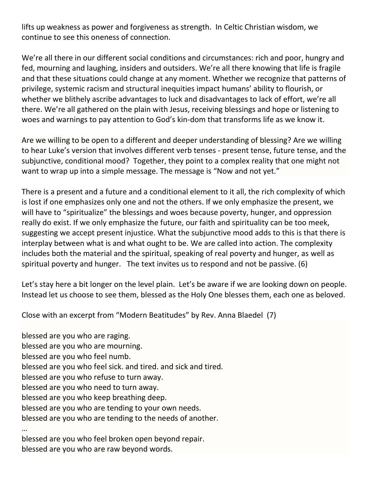lifts up weakness as power and forgiveness as strength. In Celtic Christian wisdom, we continue to see this oneness of connection.

We're all there in our different social conditions and circumstances: rich and poor, hungry and fed, mourning and laughing, insiders and outsiders. We're all there knowing that life is fragile and that these situations could change at any moment. Whether we recognize that patterns of privilege, systemic racism and structural inequities impact humans' ability to flourish, or whether we blithely ascribe advantages to luck and disadvantages to lack of effort, we're all there. We're all gathered on the plain with Jesus, receiving blessings and hope or listening to woes and warnings to pay attention to God's kin-dom that transforms life as we know it.

Are we willing to be open to a different and deeper understanding of blessing? Are we willing to hear Luke's version that involves different verb tenses - present tense, future tense, and the subjunctive, conditional mood? Together, they point to a complex reality that one might not want to wrap up into a simple message. The message is "Now and not yet."

There is a present and a future and a conditional element to it all, the rich complexity of which is lost if one emphasizes only one and not the others. If we only emphasize the present, we will have to "spiritualize" the blessings and woes because poverty, hunger, and oppression really do exist. If we only emphasize the future, our faith and spirituality can be too meek, suggesting we accept present injustice. What the subjunctive mood adds to this is that there is interplay between what is and what ought to be. We are called into action. The complexity includes both the material and the spiritual, speaking of real poverty and hunger, as well as spiritual poverty and hunger. The text invites us to respond and not be passive. (6)

Let's stay here a bit longer on the level plain. Let's be aware if we are looking down on people. Instead let us choose to see them, blessed as the Holy One blesses them, each one as beloved.

Close with an excerpt from "Modern Beatitudes" by Rev. Anna Blaedel (7)

blessed are you who are raging. blessed are you who are mourning. blessed are you who feel numb. blessed are you who feel sick. and tired. and sick and tired. blessed are you who refuse to turn away. blessed are you who need to turn away. blessed are you who keep breathing deep. blessed are you who are tending to your own needs. blessed are you who are tending to the needs of another. …

blessed are you who feel broken open beyond repair. blessed are you who are raw beyond words.